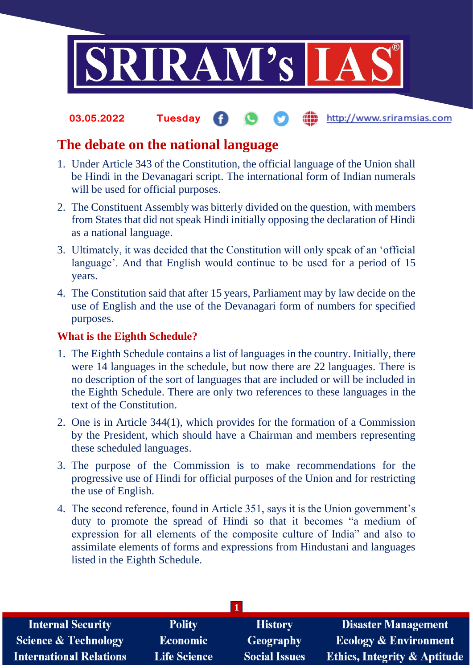

#### http://www.sriramsias.com **03.05.2022 Tuesday**

## **The debate on the national language**

- 1. Under Article 343 of the Constitution, the official language of the Union shall be Hindi in the Devanagari script. The international form of Indian numerals will be used for official purposes.
- 2. The Constituent Assembly was bitterly divided on the question, with members from States that did not speak Hindi initially opposing the declaration of Hindi as a national language.
- 3. Ultimately, it was decided that the Constitution will only speak of an 'official language'. And that English would continue to be used for a period of 15 years.
- 4. The Constitution said that after 15 years, Parliament may by law decide on the use of English and the use of the Devanagari form of numbers for specified purposes.

## **What is the Eighth Schedule?**

- 1. The Eighth Schedule contains a list of languages in the country. Initially, there were 14 languages in the schedule, but now there are 22 languages. There is no description of the sort of languages that are included or will be included in the Eighth Schedule. There are only two references to these languages in the text of the Constitution.
- 2. One is in Article 344(1), which provides for the formation of a Commission by the President, which should have a Chairman and members representing these scheduled languages.
- 3. The purpose of the Commission is to make recommendations for the progressive use of Hindi for official purposes of the Union and for restricting the use of English.
- 4. The second reference, found in Article 351, says it is the Union government's duty to promote the spread of Hindi so that it becomes "a medium of expression for all elements of the composite culture of India" and also to assimilate elements of forms and expressions from Hindustani and languages listed in the Eighth Schedule.

| <b>Internal Security</b>        | <b>Polity</b>       | <b>History</b>       | <b>Disaster Management</b>              |  |  |
|---------------------------------|---------------------|----------------------|-----------------------------------------|--|--|
| <b>Science &amp; Technology</b> | <b>Economic</b>     | Geography            | <b>Ecology &amp; Environment</b>        |  |  |
| <b>International Relations</b>  | <b>Life Science</b> | <b>Social Issues</b> | <b>Ethics, Integrity &amp; Aptitude</b> |  |  |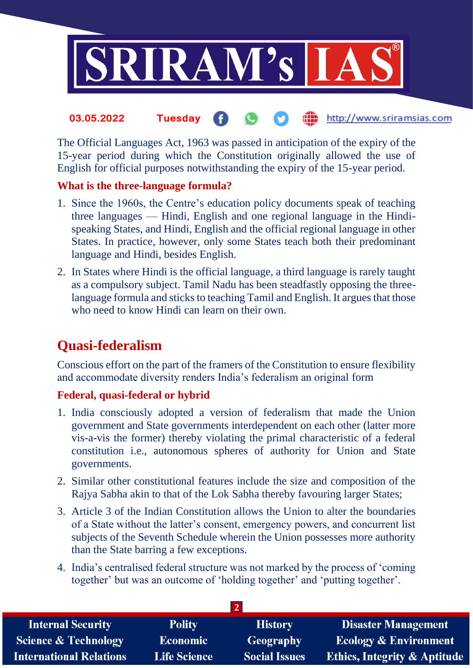

### the http://www.sriramsias.com **03.05.2022 Tuesday**

The Official Languages Act, 1963 was passed in anticipation of the expiry of the 15-year period during which the Constitution originally allowed the use of English for official purposes notwithstanding the expiry of the 15-year period.

## **What is the three-language formula?**

- 1. Since the 1960s, the Centre's education policy documents speak of teaching three languages — Hindi, English and one regional language in the Hindispeaking States, and Hindi, English and the official regional language in other States. In practice, however, only some States teach both their predominant language and Hindi, besides English.
- 2. In States where Hindi is the official language, a third language is rarely taught as a compulsory subject. Tamil Nadu has been steadfastly opposing the threelanguage formula and sticks to teaching Tamil and English. It argues that those who need to know Hindi can learn on their own.

# **Quasi-federalism**

Conscious effort on the part of the framers of the Constitution to ensure flexibility and accommodate diversity renders India's federalism an original form

## **Federal, quasi-federal or hybrid**

- 1. India consciously adopted a version of federalism that made the Union government and State governments interdependent on each other (latter more vis-a-vis the former) thereby violating the primal characteristic of a federal constitution i.e., autonomous spheres of authority for Union and State governments.
- 2. Similar other constitutional features include the size and composition of the Rajya Sabha akin to that of the Lok Sabha thereby favouring larger States;
- 3. Article 3 of the Indian Constitution allows the Union to alter the boundaries of a State without the latter's consent, emergency powers, and concurrent list subjects of the Seventh Schedule wherein the Union possesses more authority than the State barring a few exceptions.
- 4. India's centralised federal structure was not marked by the process of 'coming together' but was an outcome of 'holding together' and 'putting together'.

| <b>Internal Security</b>        | <b>Polity</b>       | <b>History</b>       | <b>Disaster Management</b>              |  |  |  |
|---------------------------------|---------------------|----------------------|-----------------------------------------|--|--|--|
| <b>Science &amp; Technology</b> | <b>Economic</b>     | <b>Geography</b>     | <b>Ecology &amp; Environment</b>        |  |  |  |
| <b>International Relations</b>  | <b>Life Science</b> | <b>Social Issues</b> | <b>Ethics, Integrity &amp; Aptitude</b> |  |  |  |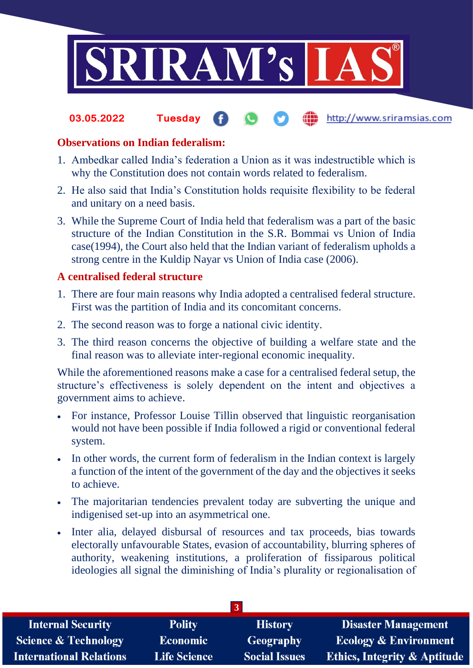

#### **fin** http://www.sriramsias.com **03.05.2022 Tuesday**

## **Observations on Indian federalism:**

- 1. Ambedkar called India's federation a Union as it was indestructible which is why the Constitution does not contain words related to federalism.
- 2. He also said that India's Constitution holds requisite flexibility to be federal and unitary on a need basis.
- 3. While the Supreme Court of India held that federalism was a part of the basic structure of the Indian Constitution in the S.R. Bommai vs Union of India case(1994), the Court also held that the Indian variant of federalism upholds a strong centre in the Kuldip Nayar vs Union of India case (2006).

## **A centralised federal structure**

- 1. There are four main reasons why India adopted a centralised federal structure. First was the partition of India and its concomitant concerns.
- 2. The second reason was to forge a national civic identity.
- 3. The third reason concerns the objective of building a welfare state and the final reason was to alleviate inter-regional economic inequality.

While the aforementioned reasons make a case for a centralised federal setup, the structure's effectiveness is solely dependent on the intent and objectives a government aims to achieve.

- For instance, Professor Louise Tillin observed that linguistic reorganisation would not have been possible if India followed a rigid or conventional federal system.
- In other words, the current form of federalism in the Indian context is largely a function of the intent of the government of the day and the objectives it seeks to achieve.
- The majoritarian tendencies prevalent today are subverting the unique and indigenised set-up into an asymmetrical one.
- Inter alia, delayed disbursal of resources and tax proceeds, bias towards electorally unfavourable States, evasion of accountability, blurring spheres of authority, weakening institutions, a proliferation of fissiparous political ideologies all signal the diminishing of India's plurality or regionalisation of

| <b>Internal Security</b>        | <b>Polity</b>       | <b>History</b>       | <b>Disaster Management</b>              |  |  |
|---------------------------------|---------------------|----------------------|-----------------------------------------|--|--|
| <b>Science &amp; Technology</b> | <b>Economic</b>     | <b>Geography</b>     | <b>Ecology &amp; Environment</b>        |  |  |
| <b>International Relations</b>  | <b>Life Science</b> | <b>Social Issues</b> | <b>Ethics, Integrity &amp; Aptitude</b> |  |  |